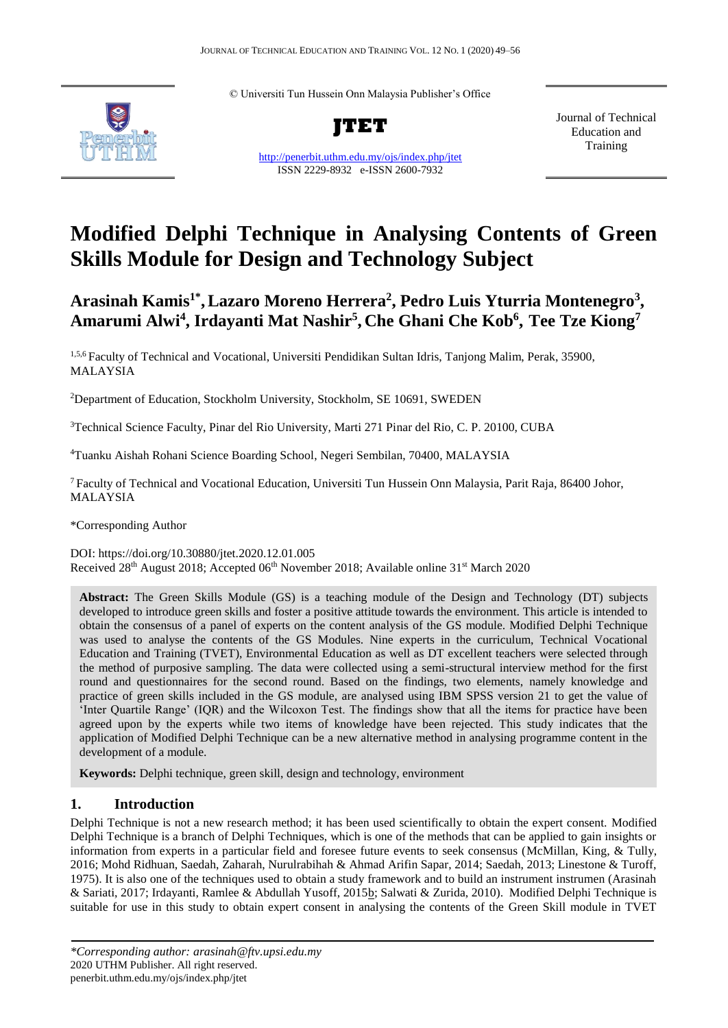© Universiti Tun Hussein Onn Malaysia Publisher's Office



**JTET**

<http://penerbit.uthm.edu.my/ojs/index.php/jtet> ISSN 2229-8932 e-ISSN 2600-7932

Journal of Technical Education and **Training** 

# **Modified Delphi Technique in Analysing Contents of Green Skills Module for Design and Technology Subject**

# Arasinah Kamis<sup>1\*</sup>, Lazaro Moreno Herrera<sup>2</sup>, Pedro Luis Yturria Montenegro<sup>3</sup>, **Amarumi Alwi<sup>4</sup> , Irdayanti Mat Nashir<sup>5</sup> , Che Ghani Che Kob<sup>6</sup> , Tee Tze Kiong<sup>7</sup>**

1,5,6 Faculty of Technical and Vocational, Universiti Pendidikan Sultan Idris, Tanjong Malim, Perak, 35900, MALAYSIA

<sup>2</sup>Department of Education, Stockholm University, Stockholm, SE 10691, SWEDEN

<sup>3</sup>Technical Science Faculty, Pinar del Rio University, Marti 271 Pinar del Rio, C. P. 20100, CUBA

<sup>4</sup>Tuanku Aishah Rohani Science Boarding School, Negeri Sembilan, 70400, MALAYSIA

<sup>7</sup>Faculty of Technical and Vocational Education, Universiti Tun Hussein Onn Malaysia, Parit Raja, 86400 Johor, MALAYSIA

\*Corresponding Author

DOI: https://doi.org/10.30880/jtet.2020.12.01.005 Received 28th August 2018; Accepted 06th November 2018; Available online 31st March 2020

**Abstract:** The Green Skills Module (GS) is a teaching module of the Design and Technology (DT) subjects developed to introduce green skills and foster a positive attitude towards the environment. This article is intended to obtain the consensus of a panel of experts on the content analysis of the GS module. Modified Delphi Technique was used to analyse the contents of the GS Modules. Nine experts in the curriculum, Technical Vocational Education and Training (TVET), Environmental Education as well as DT excellent teachers were selected through the method of purposive sampling. The data were collected using a semi-structural interview method for the first round and questionnaires for the second round. Based on the findings, two elements, namely knowledge and practice of green skills included in the GS module, are analysed using IBM SPSS version 21 to get the value of 'Inter Quartile Range' (IQR) and the Wilcoxon Test. The findings show that all the items for practice have been agreed upon by the experts while two items of knowledge have been rejected. This study indicates that the application of Modified Delphi Technique can be a new alternative method in analysing programme content in the development of a module.

**Keywords:** Delphi technique, green skill, design and technology, environment

# **1. Introduction**

Delphi Technique is not a new research method; it has been used scientifically to obtain the expert consent. Modified Delphi Technique is a branch of Delphi Techniques, which is one of the methods that can be applied to gain insights or information from experts in a particular field and foresee future events to seek consensus (McMillan, King, & Tully, 2016; Mohd Ridhuan, Saedah, Zaharah, Nurulrabihah & Ahmad Arifin Sapar, 2014; Saedah, 2013; Linestone & Turoff, 1975). It is also one of the techniques used to obtain a study framework and to build an instrument instrumen (Arasinah & Sariati, 2017; Irdayanti, Ramlee & Abdullah Yusoff, 2015b; Salwati & Zurida, 2010). Modified Delphi Technique is suitable for use in this study to obtain expert consent in analysing the contents of the Green Skill module in TVET

*<sup>\*</sup>Corresponding author: arasinah@ftv.upsi.edu.my* 2020 UTHM Publisher. All right reserved. penerbit.uthm.edu.my/ojs/index.php/jtet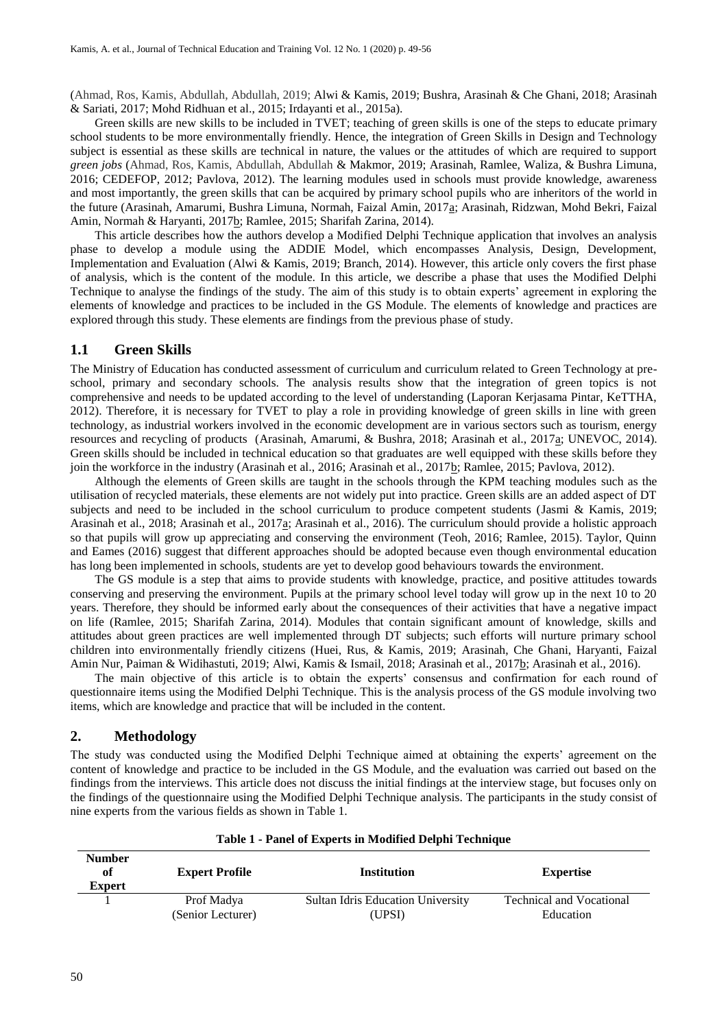(Ahmad, Ros, Kamis, Abdullah, Abdullah, 2019; Alwi & Kamis, 2019; Bushra, Arasinah & Che Ghani, 2018; Arasinah & Sariati, 2017; Mohd Ridhuan et al., 2015; Irdayanti et al., 2015a).

Green skills are new skills to be included in TVET; teaching of green skills is one of the steps to educate primary school students to be more environmentally friendly. Hence, the integration of Green Skills in Design and Technology subject is essential as these skills are technical in nature, the values or the attitudes of which are required to support *green jobs* (Ahmad, Ros, Kamis, Abdullah, Abdullah & Makmor, 2019; Arasinah, Ramlee, Waliza, & Bushra Limuna, 2016; CEDEFOP, 2012; Pavlova, 2012). The learning modules used in schools must provide knowledge, awareness and most importantly, the green skills that can be acquired by primary school pupils who are inheritors of the world in the future (Arasinah, Amarumi, Bushra Limuna, Normah, Faizal Amin, 2017a; Arasinah, Ridzwan, Mohd Bekri, Faizal Amin, Normah & Haryanti, 2017b; Ramlee, 2015; Sharifah Zarina, 2014).

This article describes how the authors develop a Modified Delphi Technique application that involves an analysis phase to develop a module using the ADDIE Model, which encompasses Analysis, Design, Development, Implementation and Evaluation (Alwi & Kamis, 2019; Branch, 2014). However, this article only covers the first phase of analysis, which is the content of the module. In this article, we describe a phase that uses the Modified Delphi Technique to analyse the findings of the study. The aim of this study is to obtain experts' agreement in exploring the elements of knowledge and practices to be included in the GS Module. The elements of knowledge and practices are explored through this study. These elements are findings from the previous phase of study.

#### **1.1 Green Skills**

The Ministry of Education has conducted assessment of curriculum and curriculum related to Green Technology at preschool, primary and secondary schools. The analysis results show that the integration of green topics is not comprehensive and needs to be updated according to the level of understanding (Laporan Kerjasama Pintar, KeTTHA, 2012). Therefore, it is necessary for TVET to play a role in providing knowledge of green skills in line with green technology, as industrial workers involved in the economic development are in various sectors such as tourism, energy resources and recycling of products (Arasinah, Amarumi, & Bushra, 2018; Arasinah et al., 2017a; UNEVOC, 2014). Green skills should be included in technical education so that graduates are well equipped with these skills before they join the workforce in the industry (Arasinah et al., 2016; Arasinah et al., 2017b; Ramlee, 2015; Pavlova, 2012).

Although the elements of Green skills are taught in the schools through the KPM teaching modules such as the utilisation of recycled materials, these elements are not widely put into practice. Green skills are an added aspect of DT subjects and need to be included in the school curriculum to produce competent students (Jasmi & Kamis, 2019; Arasinah et al., 2018; Arasinah et al., 2017a; Arasinah et al., 2016). The curriculum should provide a holistic approach so that pupils will grow up appreciating and conserving the environment (Teoh, 2016; Ramlee, 2015). Taylor, Quinn and Eames (2016) suggest that different approaches should be adopted because even though environmental education has long been implemented in schools, students are yet to develop good behaviours towards the environment.

The GS module is a step that aims to provide students with knowledge, practice, and positive attitudes towards conserving and preserving the environment. Pupils at the primary school level today will grow up in the next 10 to 20 years. Therefore, they should be informed early about the consequences of their activities that have a negative impact on life (Ramlee, 2015; Sharifah Zarina, 2014). Modules that contain significant amount of knowledge, skills and attitudes about green practices are well implemented through DT subjects; such efforts will nurture primary school children into environmentally friendly citizens (Huei, Rus, & Kamis, 2019; Arasinah, Che Ghani, Haryanti, Faizal Amin Nur, Paiman & Widihastuti, 2019; Alwi, Kamis & Ismail, 2018; Arasinah et al., 2017b; Arasinah et al., 2016).

The main objective of this article is to obtain the experts' consensus and confirmation for each round of questionnaire items using the Modified Delphi Technique. This is the analysis process of the GS module involving two items, which are knowledge and practice that will be included in the content.

#### **2. Methodology**

The study was conducted using the Modified Delphi Technique aimed at obtaining the experts' agreement on the content of knowledge and practice to be included in the GS Module, and the evaluation was carried out based on the findings from the interviews. This article does not discuss the initial findings at the interview stage, but focuses only on the findings of the questionnaire using the Modified Delphi Technique analysis. The participants in the study consist of nine experts from the various fields as shown in Table 1.

| <b>Number</b><br>of<br><b>Expert</b> | <b>Expert Profile</b> | <b>Institution</b>                       | <b>Expertise</b>                |  |  |
|--------------------------------------|-----------------------|------------------------------------------|---------------------------------|--|--|
|                                      | Prof Madya            | <b>Sultan Idris Education University</b> | <b>Technical and Vocational</b> |  |  |
|                                      | (Senior Lecturer)     | (UPSI)                                   | Education                       |  |  |

**Table 1 - Panel of Experts in Modified Delphi Technique**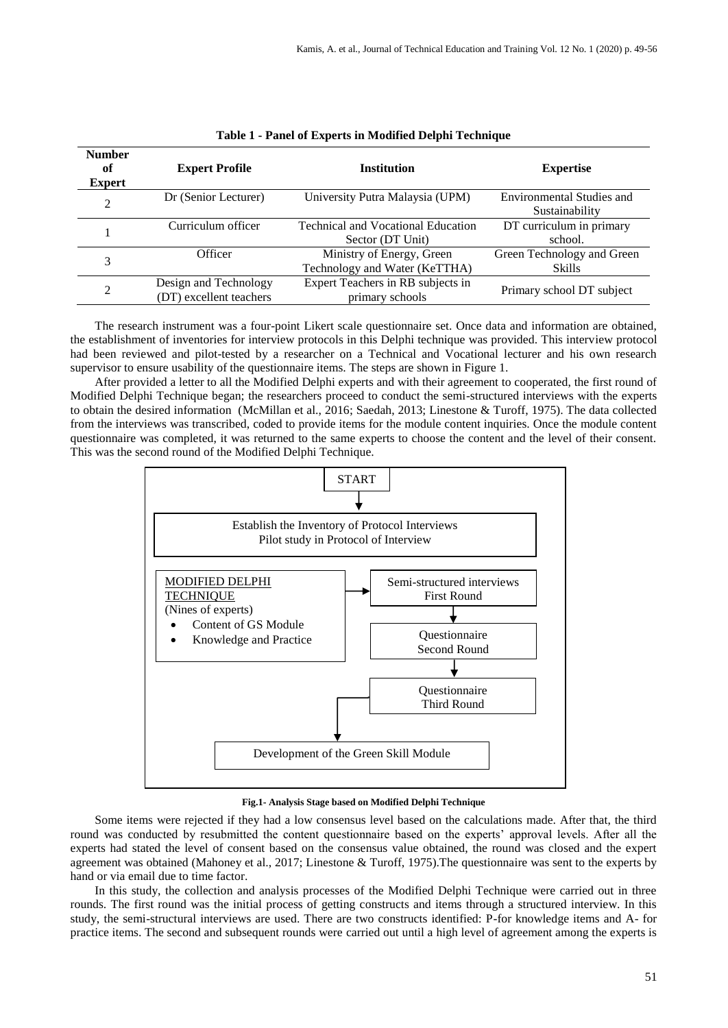| <b>Number</b><br>of<br><b>Expert</b> | <b>Expert Profile</b>                            | <b>Institution</b>                                            | <b>Expertise</b>                                   |
|--------------------------------------|--------------------------------------------------|---------------------------------------------------------------|----------------------------------------------------|
| 2                                    | Dr (Senior Lecturer)                             | University Putra Malaysia (UPM)                               | <b>Environmental Studies and</b><br>Sustainability |
|                                      | Curriculum officer                               | <b>Technical and Vocational Education</b><br>Sector (DT Unit) | DT curriculum in primary<br>school.                |
| 3                                    | Officer                                          | Ministry of Energy, Green<br>Technology and Water (KeTTHA)    | Green Technology and Green<br><b>Skills</b>        |
| 2                                    | Design and Technology<br>(DT) excellent teachers | Expert Teachers in RB subjects in<br>primary schools          | Primary school DT subject                          |

| Table 1 - Panel of Experts in Modified Delphi Technique |  |  |
|---------------------------------------------------------|--|--|
|---------------------------------------------------------|--|--|

The research instrument was a four-point Likert scale questionnaire set. Once data and information are obtained, the establishment of inventories for interview protocols in this Delphi technique was provided. This interview protocol had been reviewed and pilot-tested by a researcher on a Technical and Vocational lecturer and his own research supervisor to ensure usability of the questionnaire items. The steps are shown in Figure 1.

After provided a letter to all the Modified Delphi experts and with their agreement to cooperated, the first round of Modified Delphi Technique began; the researchers proceed to conduct the semi-structured interviews with the experts to obtain the desired information (McMillan et al., 2016; Saedah, 2013; Linestone & Turoff, 1975). The data collected from the interviews was transcribed, coded to provide items for the module content inquiries. Once the module content questionnaire was completed, it was returned to the same experts to choose the content and the level of their consent. This was the second round of the Modified Delphi Technique.



**Fig.1- Analysis Stage based on Modified Delphi Technique**

Some items were rejected if they had a low consensus level based on the calculations made. After that, the third round was conducted by resubmitted the content questionnaire based on the experts' approval levels. After all the experts had stated the level of consent based on the consensus value obtained, the round was closed and the expert agreement was obtained (Mahoney et al., 2017; Linestone & Turoff, 1975).The questionnaire was sent to the experts by hand or via email due to time factor.

In this study, the collection and analysis processes of the Modified Delphi Technique were carried out in three rounds. The first round was the initial process of getting constructs and items through a structured interview. In this study, the semi-structural interviews are used. There are two constructs identified: P-for knowledge items and A- for practice items. The second and subsequent rounds were carried out until a high level of agreement among the experts is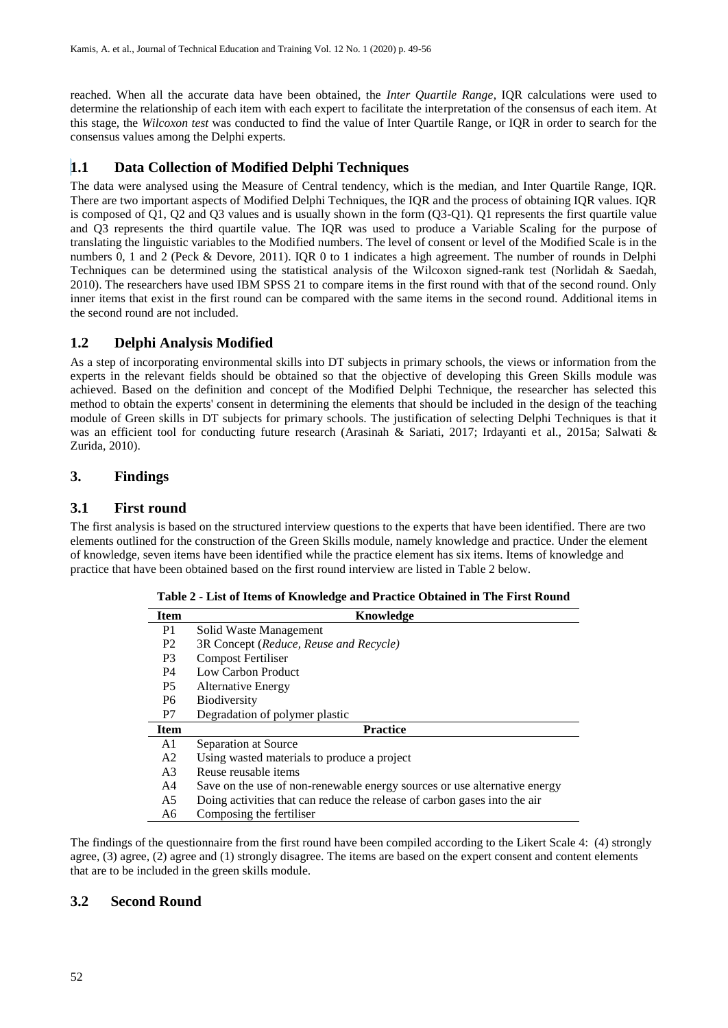reached. When all the accurate data have been obtained, the *Inter Quartile Range*, IQR calculations were used to determine the relationship of each item with each expert to facilitate the interpretation of the consensus of each item. At this stage, the *Wilcoxon test* was conducted to find the value of Inter Quartile Range, or IQR in order to search for the consensus values among the Delphi experts.

# **1.1 Data Collection of Modified Delphi Techniques**

The data were analysed using the Measure of Central tendency, which is the median, and Inter Quartile Range, IQR. There are two important aspects of Modified Delphi Techniques, the IQR and the process of obtaining IQR values. IQR is composed of Q1, Q2 and Q3 values and is usually shown in the form (Q3-Q1). Q1 represents the first quartile value and Q3 represents the third quartile value. The IQR was used to produce a Variable Scaling for the purpose of translating the linguistic variables to the Modified numbers. The level of consent or level of the Modified Scale is in the numbers 0, 1 and 2 (Peck & Devore, 2011). IQR 0 to 1 indicates a high agreement. The number of rounds in Delphi Techniques can be determined using the statistical analysis of the Wilcoxon signed-rank test (Norlidah & Saedah, 2010). The researchers have used IBM SPSS 21 to compare items in the first round with that of the second round. Only inner items that exist in the first round can be compared with the same items in the second round. Additional items in the second round are not included.

# **1.2 Delphi Analysis Modified**

As a step of incorporating environmental skills into DT subjects in primary schools, the views or information from the experts in the relevant fields should be obtained so that the objective of developing this Green Skills module was achieved. Based on the definition and concept of the Modified Delphi Technique, the researcher has selected this method to obtain the experts' consent in determining the elements that should be included in the design of the teaching module of Green skills in DT subjects for primary schools. The justification of selecting Delphi Techniques is that it was an efficient tool for conducting future research (Arasinah & Sariati, 2017; Irdayanti et al., 2015a; Salwati & Zurida, 2010).

# **3. Findings**

# **3.1 First round**

The first analysis is based on the structured interview questions to the experts that have been identified. There are two elements outlined for the construction of the Green Skills module, namely knowledge and practice. Under the element of knowledge, seven items have been identified while the practice element has six items. Items of knowledge and practice that have been obtained based on the first round interview are listed in Table 2 below.

| <b>Item</b>    | Knowledge                                                                 |  |  |  |  |
|----------------|---------------------------------------------------------------------------|--|--|--|--|
| P1             | Solid Waste Management                                                    |  |  |  |  |
| P <sub>2</sub> | 3R Concept (Reduce, Reuse and Recycle)                                    |  |  |  |  |
| P <sub>3</sub> | Compost Fertiliser                                                        |  |  |  |  |
| P <sub>4</sub> | Low Carbon Product                                                        |  |  |  |  |
| P <sub>5</sub> | <b>Alternative Energy</b>                                                 |  |  |  |  |
| P <sub>6</sub> | <b>Biodiversity</b>                                                       |  |  |  |  |
| P7             | Degradation of polymer plastic                                            |  |  |  |  |
| <b>Item</b>    | <b>Practice</b>                                                           |  |  |  |  |
| A1             | Separation at Source                                                      |  |  |  |  |
| A <sub>2</sub> | Using wasted materials to produce a project                               |  |  |  |  |
| A <sub>3</sub> | Reuse reusable items                                                      |  |  |  |  |
| A <sub>4</sub> | Save on the use of non-renewable energy sources or use alternative energy |  |  |  |  |
| A5             | Doing activities that can reduce the release of carbon gases into the air |  |  |  |  |
| A6             | Composing the fertiliser                                                  |  |  |  |  |

**Table 2 - List of Items of Knowledge and Practice Obtained in The First Round**

The findings of the questionnaire from the first round have been compiled according to the Likert Scale 4: (4) strongly agree, (3) agree, (2) agree and (1) strongly disagree. The items are based on the expert consent and content elements that are to be included in the green skills module.

#### **3.2 Second Round**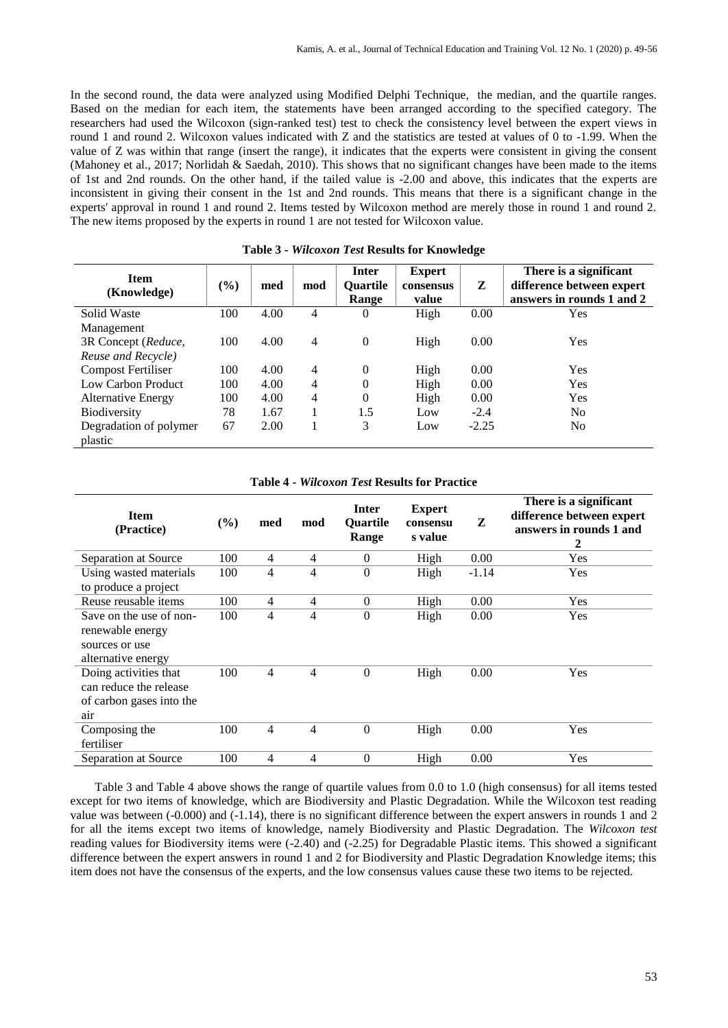In the second round, the data were analyzed using Modified Delphi Technique, the median, and the quartile ranges. Based on the median for each item, the statements have been arranged according to the specified category. The researchers had used the Wilcoxon (sign-ranked test) test to check the consistency level between the expert views in round 1 and round 2. Wilcoxon values indicated with Z and the statistics are tested at values of 0 to -1.99. When the value of Z was within that range (insert the range), it indicates that the experts were consistent in giving the consent (Mahoney et al., 2017; Norlidah & Saedah, 2010). This shows that no significant changes have been made to the items of 1st and 2nd rounds. On the other hand, if the tailed value is -2.00 and above, this indicates that the experts are inconsistent in giving their consent in the 1st and 2nd rounds. This means that there is a significant change in the experts' approval in round 1 and round 2. Items tested by Wilcoxon method are merely those in round 1 and round 2. The new items proposed by the experts in round 1 are not tested for Wilcoxon value.

| <b>Item</b><br>(Knowledge)        | (%) | med  | mod | Inter<br><b>Ouartile</b><br>Range | <b>Expert</b><br>consensus<br>value | Z       | There is a significant<br>difference between expert<br>answers in rounds 1 and 2 |
|-----------------------------------|-----|------|-----|-----------------------------------|-------------------------------------|---------|----------------------------------------------------------------------------------|
| Solid Waste                       | 100 | 4.00 | 4   | 0                                 | High                                | 0.00    | Yes                                                                              |
| Management                        |     |      |     |                                   |                                     |         |                                                                                  |
| 3R Concept (Reduce,               | 100 | 4.00 | 4   | $\overline{0}$                    | High                                | 0.00    | Yes                                                                              |
| Reuse and Recycle)                |     |      |     |                                   |                                     |         |                                                                                  |
| <b>Compost Fertiliser</b>         | 100 | 4.00 | 4   | $\theta$                          | High                                | 0.00    | Yes                                                                              |
| Low Carbon Product                | 100 | 4.00 | 4   | $\theta$                          | High                                | 0.00    | Yes                                                                              |
| <b>Alternative Energy</b>         | 100 | 4.00 | 4   | $\theta$                          | High                                | 0.00    | Yes                                                                              |
| <b>Biodiversity</b>               | 78  | 1.67 |     | 1.5                               | Low                                 | $-2.4$  | N <sub>0</sub>                                                                   |
| Degradation of polymer<br>plastic | 67  | 2.00 |     | 3                                 | Low                                 | $-2.25$ | N <sub>0</sub>                                                                   |

**Table 3 -** *Wilcoxon Test* **Results for Knowledge** 

#### **Table 4 -** *Wilcoxon Test* **Results for Practice**

| <b>Item</b><br>(Practice) | (%) | med            | mod            | Inter<br><b>Ouartile</b><br>Range | <b>Expert</b><br>consensu<br>s value | Z       | There is a significant<br>difference between expert<br>answers in rounds 1 and<br>2 |
|---------------------------|-----|----------------|----------------|-----------------------------------|--------------------------------------|---------|-------------------------------------------------------------------------------------|
| Separation at Source      | 100 | 4              | $\overline{4}$ | $\mathbf{0}$                      | High                                 | 0.00    | Yes                                                                                 |
| Using wasted materials    | 100 | 4              | 4              | $\mathbf{0}$                      | High                                 | $-1.14$ | Yes                                                                                 |
| to produce a project      |     |                |                |                                   |                                      |         |                                                                                     |
| Reuse reusable items      | 100 | $\overline{4}$ | $\overline{4}$ | $\boldsymbol{0}$                  | High                                 | 0.00    | Yes                                                                                 |
| Save on the use of non-   | 100 | 4              | 4              | $\mathbf{0}$                      | High                                 | 0.00    | Yes                                                                                 |
| renewable energy          |     |                |                |                                   |                                      |         |                                                                                     |
| sources or use            |     |                |                |                                   |                                      |         |                                                                                     |
| alternative energy        |     |                |                |                                   |                                      |         |                                                                                     |
| Doing activities that     | 100 | 4              | 4              | $\overline{0}$                    | High                                 | 0.00    | Yes                                                                                 |
| can reduce the release    |     |                |                |                                   |                                      |         |                                                                                     |
| of carbon gases into the  |     |                |                |                                   |                                      |         |                                                                                     |
| air                       |     |                |                |                                   |                                      |         |                                                                                     |
| Composing the             | 100 | 4              | 4              | $\boldsymbol{0}$                  | High                                 | 0.00    | Yes                                                                                 |
| fertiliser                |     |                |                |                                   |                                      |         |                                                                                     |
| Separation at Source      | 100 | 4              | 4              | $\mathbf{0}$                      | High                                 | 0.00    | Yes                                                                                 |

Table 3 and Table 4 above shows the range of quartile values from 0.0 to 1.0 (high consensus) for all items tested except for two items of knowledge, which are Biodiversity and Plastic Degradation. While the Wilcoxon test reading value was between (-0.000) and (-1.14), there is no significant difference between the expert answers in rounds 1 and 2 for all the items except two items of knowledge, namely Biodiversity and Plastic Degradation. The *Wilcoxon test* reading values for Biodiversity items were (-2.40) and (-2.25) for Degradable Plastic items. This showed a significant difference between the expert answers in round 1 and 2 for Biodiversity and Plastic Degradation Knowledge items; this item does not have the consensus of the experts, and the low consensus values cause these two items to be rejected.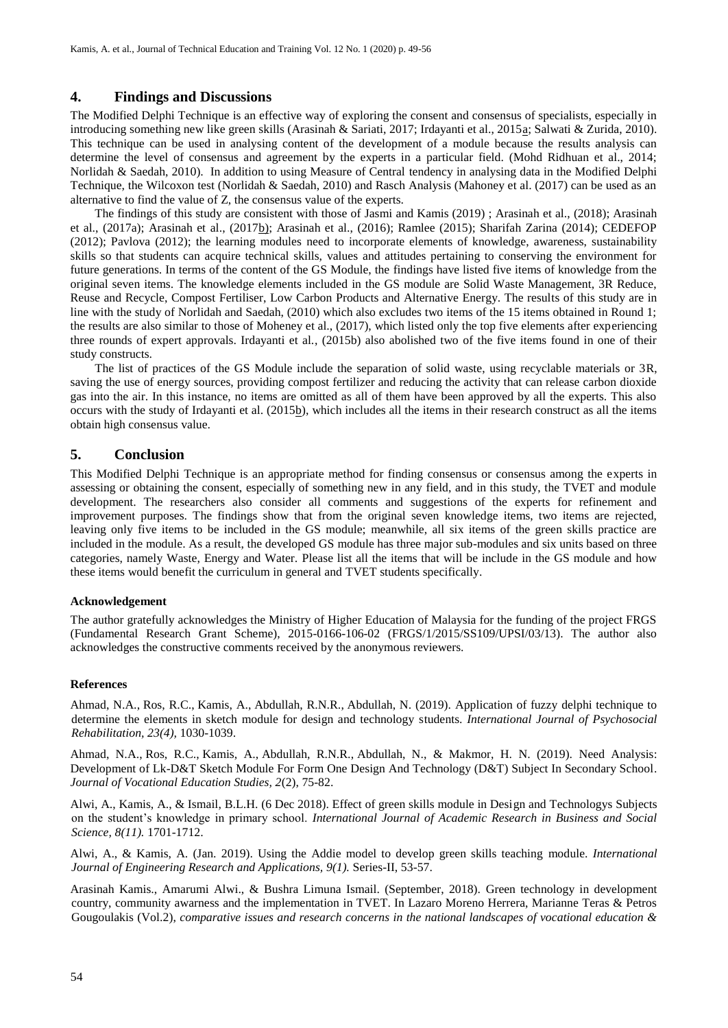# **4. Findings and Discussions**

The Modified Delphi Technique is an effective way of exploring the consent and consensus of specialists, especially in introducing something new like green skills (Arasinah & Sariati, 2017; Irdayanti et al., 2015a; Salwati & Zurida, 2010). This technique can be used in analysing content of the development of a module because the results analysis can determine the level of consensus and agreement by the experts in a particular field. (Mohd Ridhuan et al., 2014; Norlidah & Saedah, 2010). In addition to using Measure of Central tendency in analysing data in the Modified Delphi Technique, the Wilcoxon test (Norlidah & Saedah, 2010) and Rasch Analysis (Mahoney et al. (2017) can be used as an alternative to find the value of Z, the consensus value of the experts.

The findings of this study are consistent with those of Jasmi and Kamis (2019) ; Arasinah et al., (2018); Arasinah et al., (2017a); Arasinah et al., (2017b); Arasinah et al., (2016); Ramlee (2015); Sharifah Zarina (2014); CEDEFOP (2012); Pavlova (2012); the learning modules need to incorporate elements of knowledge, awareness, sustainability skills so that students can acquire technical skills, values and attitudes pertaining to conserving the environment for future generations. In terms of the content of the GS Module, the findings have listed five items of knowledge from the original seven items. The knowledge elements included in the GS module are Solid Waste Management, 3R Reduce, Reuse and Recycle, Compost Fertiliser, Low Carbon Products and Alternative Energy. The results of this study are in line with the study of Norlidah and Saedah, (2010) which also excludes two items of the 15 items obtained in Round 1; the results are also similar to those of Moheney et al., (2017), which listed only the top five elements after experiencing three rounds of expert approvals. Irdayanti et al., (2015b) also abolished two of the five items found in one of their study constructs.

The list of practices of the GS Module include the separation of solid waste, using recyclable materials or 3R, saving the use of energy sources, providing compost fertilizer and reducing the activity that can release carbon dioxide gas into the air. In this instance, no items are omitted as all of them have been approved by all the experts. This also occurs with the study of Irdayanti et al. (2015b), which includes all the items in their research construct as all the items obtain high consensus value.

#### **5. Conclusion**

This Modified Delphi Technique is an appropriate method for finding consensus or consensus among the experts in assessing or obtaining the consent, especially of something new in any field, and in this study, the TVET and module development. The researchers also consider all comments and suggestions of the experts for refinement and improvement purposes. The findings show that from the original seven knowledge items, two items are rejected, leaving only five items to be included in the GS module; meanwhile, all six items of the green skills practice are included in the module. As a result, the developed GS module has three major sub-modules and six units based on three categories, namely Waste, Energy and Water. Please list all the items that will be include in the GS module and how these items would benefit the curriculum in general and TVET students specifically.

#### **Acknowledgement**

The author gratefully acknowledges the Ministry of Higher Education of Malaysia for the funding of the project FRGS (Fundamental Research Grant Scheme), 2015-0166-106-02 (FRGS/1/2015/SS109/UPSI/03/13). The author also acknowledges the constructive comments received by the anonymous reviewers.

#### **References**

Ahmad, N.A., Ros, R.C., Kamis, A., Abdullah, R.N.R., Abdullah, N. (2019). Application of fuzzy delphi technique to determine the elements in sketch module for design and technology students. *International Journal of Psychosocial Rehabilitation, 23(4),* 1030-1039.

Ahmad, N.A., Ros, R.C., Kamis, A., Abdullah, R.N.R., Abdullah, N., & Makmor, H. N. (2019). [Need Analysis:](http://journal2.uad.ac.id/index.php/joves/article/view/708)  [Development of Lk-D&T Sketch Module For Form One Design And Technology \(D&T\) Subject In Secondary School.](http://journal2.uad.ac.id/index.php/joves/article/view/708)  *Journal of Vocational Education Studies, 2*(2), 75-82.

Alwi, A., Kamis, A., & Ismail, B.L.H. (6 Dec 2018). Effect of green skills module in Design and Technologys Subjects on the student's knowledge in primary school. *International Journal of Academic Research in Business and Social Science, 8(11).* 1701-1712.

Alwi, A., & Kamis, A. (Jan. 2019). Using the Addie model to develop green skills teaching module. *International Journal of Engineering Research and Applications, 9(1).* Series-II, 53-57.

Arasinah Kamis., Amarumi Alwi., & Bushra Limuna Ismail. (September, 2018). Green technology in development country, community awarness and the implementation in TVET. In Lazaro Moreno Herrera, Marianne Teras & Petros Gougoulakis (Vol.2), *comparative issues and research concerns in the national landscapes of vocational education &*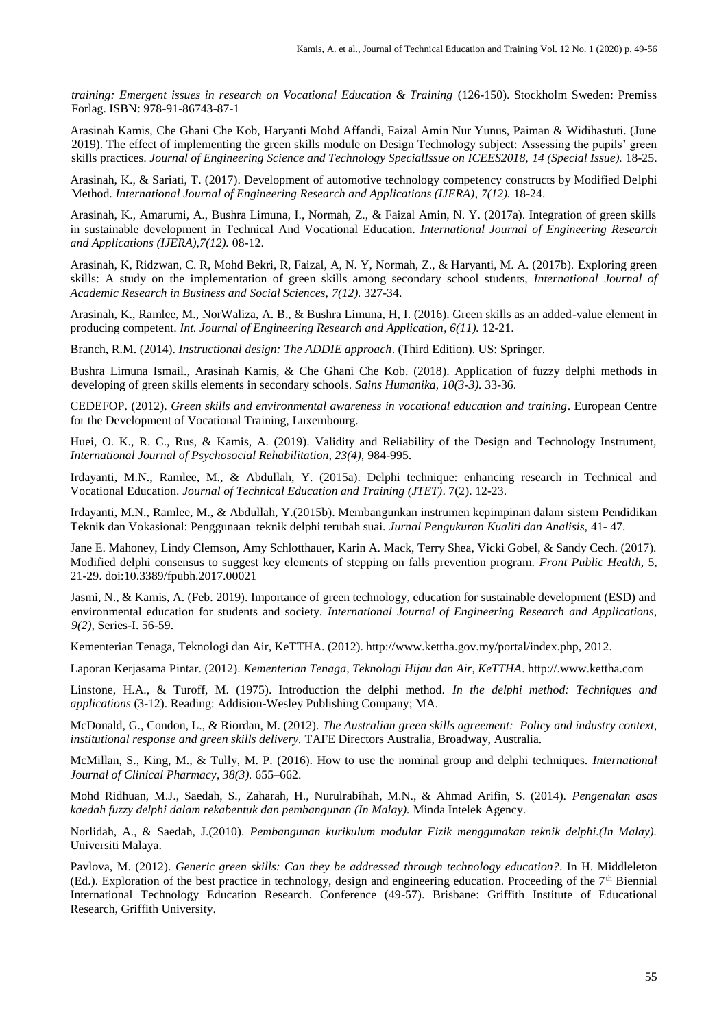*training: Emergent issues in research on Vocational Education & Training* (126-150). Stockholm Sweden: Premiss Forlag. ISBN: 978-91-86743-87-1

Arasinah Kamis, Che Ghani Che Kob, Haryanti Mohd Affandi, Faizal Amin Nur Yunus, Paiman & Widihastuti. (June 2019). The effect of implementing the green skills module on Design Technology subject: Assessing the pupils' green skills practices. *Journal of Engineering Science and Technology SpecialIssue on ICEES2018, 14 (Special Issue).* 18-25.

Arasinah, K., & Sariati, T. (2017). Development of automotive technology competency constructs by Modified Delphi Method. *International Journal of Engineering Research and Applications (IJERA)*, *7(12).* 18-24.

Arasinah, K., Amarumi, A., Bushra Limuna, I., Normah, Z., & Faizal Amin, N. Y. (2017a). Integration of green skills in sustainable development in Technical And Vocational Education. *International Journal of Engineering Research and Applications (IJERA),7(12).* 08-12.

Arasinah, K, Ridzwan, C. R, Mohd Bekri, R, Faizal, A, N. Y, Normah, Z., & Haryanti, M. A. (2017b). Exploring green skills: A study on the implementation of green skills among secondary school students, *International Journal of Academic Research in Business and Social Sciences, 7(12).* 327-34.

Arasinah, K., Ramlee, M., NorWaliza, A. B., & Bushra Limuna, H, I. (2016). Green skills as an added-value element in producing competent. *Int. Journal of Engineering Research and Application*, *6(11).* 12-21.

Branch, R.M. (2014). *Instructional design: The ADDIE approach*. (Third Edition). US: Springer.

Bushra Limuna Ismail., Arasinah Kamis, & Che Ghani Che Kob. (2018). Application of fuzzy delphi methods in developing of green skills elements in secondary schools. *Sains Humanika, 10(3-3).* 33-36.

CEDEFOP. (2012). *Green skills and environmental awareness in vocational education and training*. European Centre for the Development of Vocational Training, Luxembourg.

Huei, O. K., R. C., Rus, & Kamis, A. (2019). Validity and Reliability of the Design and Technology Instrument, *International Journal of Psychosocial Rehabilitation, 23(4),* 984-995.

Irdayanti, M.N., Ramlee, M., & Abdullah, Y. (2015a). Delphi technique: enhancing research in Technical and Vocational Education. *Journal of Technical Education and Training (JTET)*. 7(2). 12-23.

Irdayanti, M.N., Ramlee, M., & Abdullah, Y.(2015b). Membangunkan instrumen kepimpinan dalam sistem Pendidikan Teknik dan Vokasional: Penggunaan teknik delphi terubah suai. *Jurnal Pengukuran Kualiti dan Analisis,* 41- 47.

Jane E. Mahoney, Lindy Clemson, Amy Schlotthauer, Karin A. Mack, Terry Shea, Vicki Gobel, & Sandy Cech. (2017). Modified delphi consensus to suggest key elements of stepping on falls prevention program. *Front Public Health,* 5, 21-29. doi:10.3389/fpubh.2017.00021

Jasmi, N., & Kamis, A. (Feb. 2019). Importance of green technology, education for sustainable development (ESD) and environmental education for students and society. *International Journal of Engineering Research and Applications, 9(2),* Series-I. 56-59.

Kementerian Tenaga, Teknologi dan Air, KeTTHA. (2012). http://www.kettha.gov.my/portal/index.php, 2012.

Laporan Kerjasama Pintar. (2012). *Kementerian Tenaga, Teknologi Hijau dan Air, KeTTHA*. http://.www.kettha.com

Linstone, H.A., & Turoff, M. (1975). Introduction the delphi method. *In the delphi method: Techniques and applications* (3-12). Reading: Addision-Wesley Publishing Company; MA.

McDonald, G., Condon, L., & Riordan, M. (2012). *The Australian green skills agreement: Policy and industry context, institutional response and green skills delivery.* TAFE Directors Australia, Broadway, Australia.

McMillan, S., King, M., & Tully, M. P. (2016). How to use the nominal group and delphi techniques. *International Journal of Clinical Pharmacy*, *38(3).* 655–662.

Mohd Ridhuan, M.J., Saedah, S., Zaharah, H., Nurulrabihah, M.N., & Ahmad Arifin, S. (2014). *Pengenalan asas kaedah fuzzy delphi dalam rekabentuk dan pembangunan (In Malay).* Minda Intelek Agency.

Norlidah, A., & Saedah, J.(2010). *Pembangunan kurikulum modular Fizik menggunakan teknik delphi.(In Malay).* Universiti Malaya.

Pavlova, M. (2012). *Generic green skills: Can they be addressed through technology education?*. In H. Middleleton (Ed.). Exploration of the best practice in technology, design and engineering education. Proceeding of the  $7<sup>th</sup>$  Biennial International Technology Education Research. Conference (49-57). Brisbane: Griffith Institute of Educational Research, Griffith University.